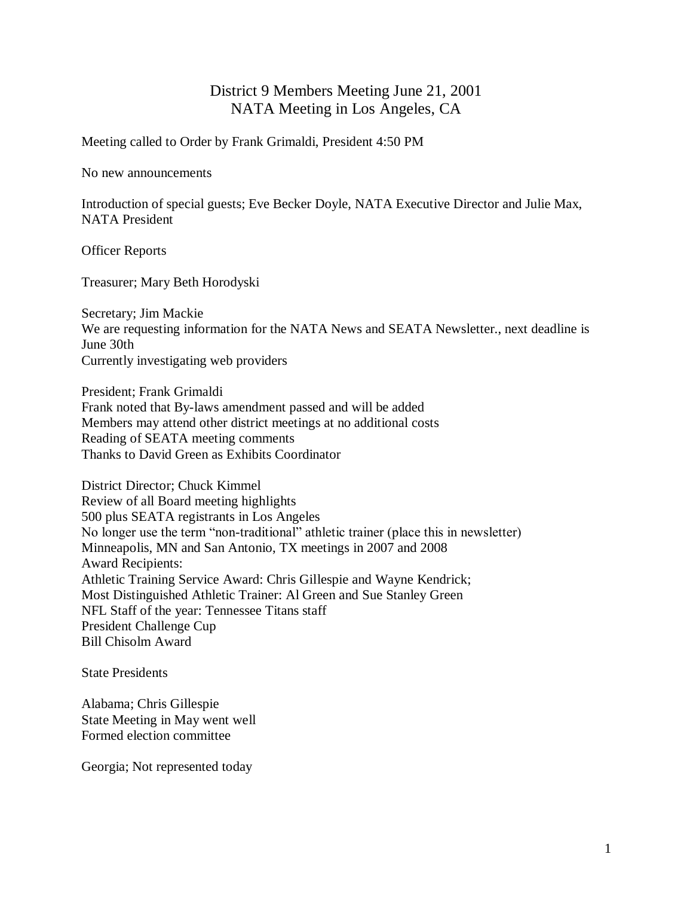## District 9 Members Meeting June 21, 2001 NATA Meeting in Los Angeles, CA

Meeting called to Order by Frank Grimaldi, President 4:50 PM

No new announcements

Introduction of special guests; Eve Becker Doyle, NATA Executive Director and Julie Max, NATA President

Officer Reports

Treasurer; Mary Beth Horodyski

Secretary; Jim Mackie We are requesting information for the NATA News and SEATA Newsletter., next deadline is June 30th Currently investigating web providers

President; Frank Grimaldi Frank noted that By-laws amendment passed and will be added Members may attend other district meetings at no additional costs Reading of SEATA meeting comments Thanks to David Green as Exhibits Coordinator

District Director; Chuck Kimmel Review of all Board meeting highlights 500 plus SEATA registrants in Los Angeles No longer use the term "non-traditional" athletic trainer (place this in newsletter) Minneapolis, MN and San Antonio, TX meetings in 2007 and 2008 Award Recipients: Athletic Training Service Award: Chris Gillespie and Wayne Kendrick; Most Distinguished Athletic Trainer: Al Green and Sue Stanley Green NFL Staff of the year: Tennessee Titans staff President Challenge Cup Bill Chisolm Award

State Presidents

Alabama; Chris Gillespie State Meeting in May went well Formed election committee

Georgia; Not represented today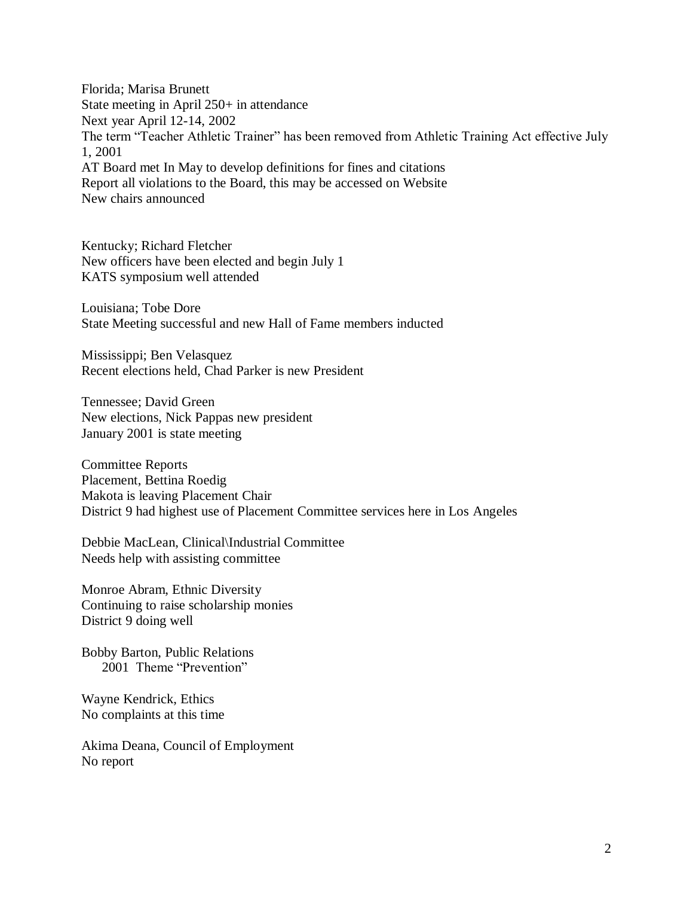Florida; Marisa Brunett State meeting in April 250+ in attendance Next year April 12-14, 2002 The term "Teacher Athletic Trainer" has been removed from Athletic Training Act effective July 1, 2001 AT Board met In May to develop definitions for fines and citations Report all violations to the Board, this may be accessed on Website New chairs announced

Kentucky; Richard Fletcher New officers have been elected and begin July 1 KATS symposium well attended

Louisiana; Tobe Dore State Meeting successful and new Hall of Fame members inducted

Mississippi; Ben Velasquez Recent elections held, Chad Parker is new President

Tennessee; David Green New elections, Nick Pappas new president January 2001 is state meeting

Committee Reports Placement, Bettina Roedig Makota is leaving Placement Chair District 9 had highest use of Placement Committee services here in Los Angeles

Debbie MacLean, Clinical\Industrial Committee Needs help with assisting committee

Monroe Abram, Ethnic Diversity Continuing to raise scholarship monies District 9 doing well

Bobby Barton, Public Relations 2001 Theme "Prevention"

Wayne Kendrick, Ethics No complaints at this time

Akima Deana, Council of Employment No report